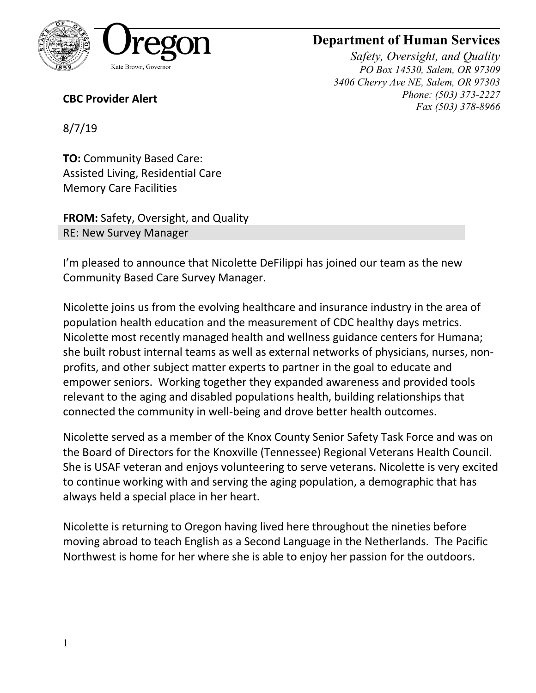

## **Department of Human Services**

*Safety, Oversight, and Quality PO Box 14530, Salem, OR 97309 3406 Cherry Ave NE, Salem, OR 97303 Phone: (503) 373-2227 Fax (503) 378-8966*

**CBC Provider Alert**

8/7/19

**TO:** Community Based Care: Assisted Living, Residential Care Memory Care Facilities

**FROM:** Safety, Oversight, and Quality RE: New Survey Manager

I'm pleased to announce that Nicolette DeFilippi has joined our team as the new Community Based Care Survey Manager.

Nicolette joins us from the evolving healthcare and insurance industry in the area of population health education and the measurement of CDC healthy days metrics. Nicolette most recently managed health and wellness guidance centers for Humana; she built robust internal teams as well as external networks of physicians, nurses, nonprofits, and other subject matter experts to partner in the goal to educate and empower seniors. Working together they expanded awareness and provided tools relevant to the aging and disabled populations health, building relationships that connected the community in well-being and drove better health outcomes.

Nicolette served as a member of the Knox County Senior Safety Task Force and was on the Board of Directors for the Knoxville (Tennessee) Regional Veterans Health Council. She is USAF veteran and enjoys volunteering to serve veterans. Nicolette is very excited to continue working with and serving the aging population, a demographic that has always held a special place in her heart.

Nicolette is returning to Oregon having lived here throughout the nineties before moving abroad to teach English as a Second Language in the Netherlands. The Pacific Northwest is home for her where she is able to enjoy her passion for the outdoors.